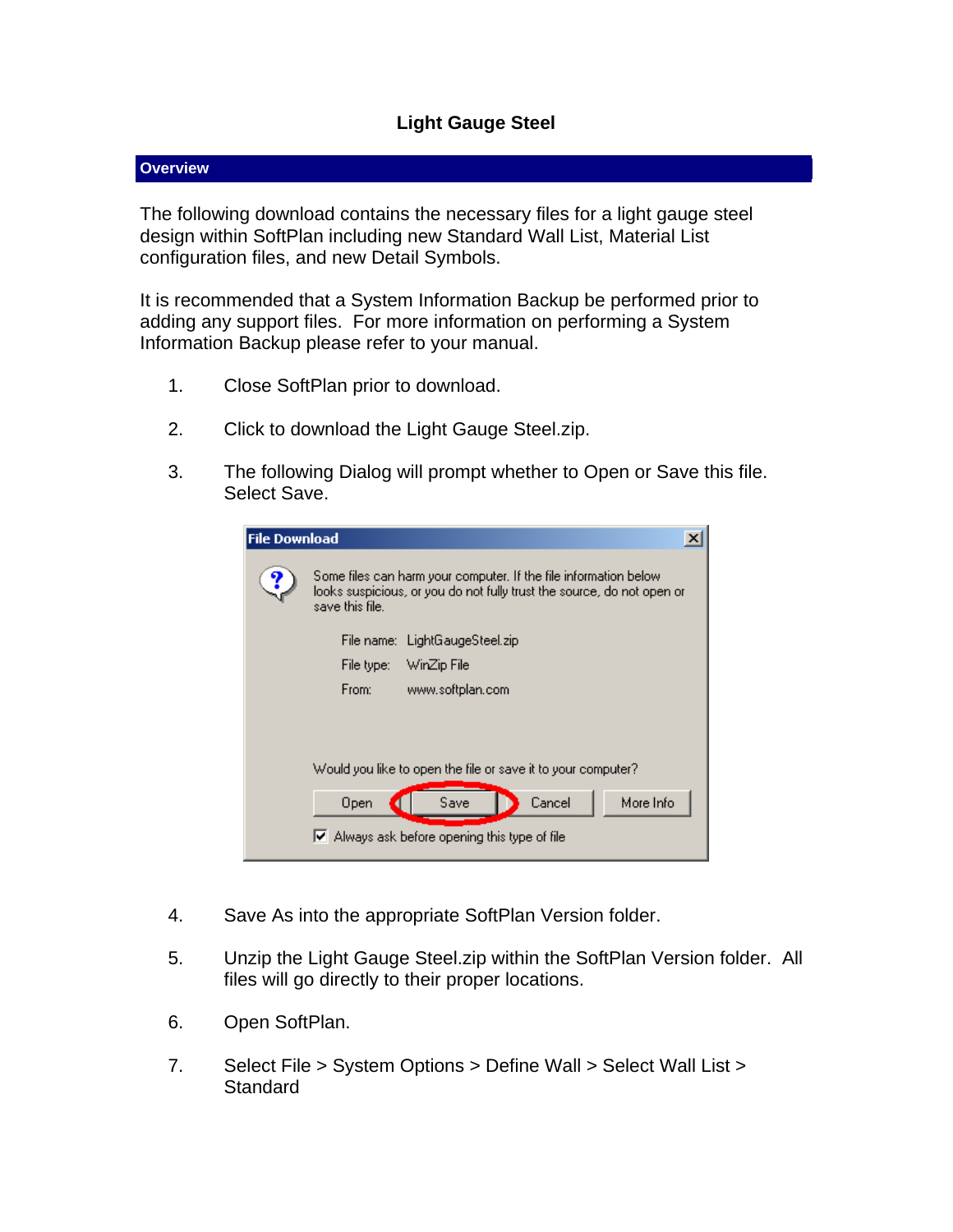## **Light Gauge Steel**

## **Overview**

The following download contains the necessary files for a light gauge steel design within SoftPlan including new Standard Wall List, Material List configuration files, and new Detail Symbols.

It is recommended that a System Information Backup be performed prior to adding any support files. For more information on performing a System Information Backup please refer to your manual.

- 1. Close SoftPlan prior to download.
- 2. Click to download the Light Gauge Steel.zip.
- 3. The following Dialog will prompt whether to Open or Save this file. Select Save.

| <b>File Download</b> | ×                                                                                                                                                              |
|----------------------|----------------------------------------------------------------------------------------------------------------------------------------------------------------|
|                      | Some files can harm your computer. If the file information below-<br>looks suspicious, or you do not fully trust the source, do not open or<br>save this file. |
|                      | File name: LightGaugeSteel.zip                                                                                                                                 |
|                      | WinZip File<br>File type:                                                                                                                                      |
|                      | From:<br>www.softplan.com                                                                                                                                      |
|                      |                                                                                                                                                                |
|                      |                                                                                                                                                                |
|                      | Would you like to open the file or save it to your computer?                                                                                                   |
|                      | More Info<br>Cancel<br>Save<br>Open                                                                                                                            |
|                      | $\triangleright$ Always ask before opening this type of file                                                                                                   |

- 4. Save As into the appropriate SoftPlan Version folder.
- 5. Unzip the Light Gauge Steel.zip within the SoftPlan Version folder. All files will go directly to their proper locations.
- 6. Open SoftPlan.
- 7. Select File > System Options > Define Wall > Select Wall List > **Standard**